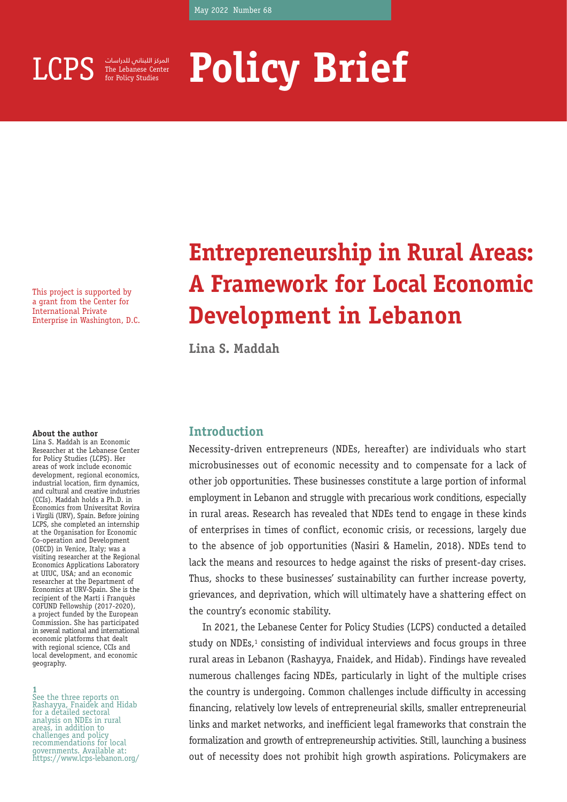

for Policy Studies المركز اللبناني للدراسات

# LCPS **FRE Lebanese Center** Policy Brief **Brief**

This project is supported by a grant from the Center for International Private Enterprise in Washington, D.C.

#### **About the author**

Lina S. Maddah is an Economic Researcher at the Lebanese Center for Policy Studies (LCPS). Her areas of work include economic development, regional economics, industrial location, firm dynamics, and cultural and creative industries (CCIs). Maddah holds a Ph.D. in Economics from Universitat Rovira i Virgili (URV), Spain. Before joining LCPS, she completed an internship at the Organisation for Economic Co-operation and Development (OECD) in Venice, Italy; was a visiting researcher at the Regional Economics Applications Laboratory at UIUC, USA; and an economic researcher at the Department of Economics at URV-Spain. She is the recipient of the Martí i Franquès COFUND Fellowship (2017-2020), a project funded by the European Commission. She has participated in several national and international economic platforms that dealt with regional science, CCIs and local development, and economic geography.

**1** See the three reports on Rashayya, Fnaidek and Hidab for a detailed sectoral analysis on NDEs in rural areas, in addition to challenges and policy recommendations for local governments. Available at: https://www.lcps-lebanon.org/

### **Entrepreneurship in Rural Areas: A Framework for Local Economic Development in Lebanon**

**Lina S. Maddah**

#### **Introduction**

Necessity-driven entrepreneurs (NDEs, hereafter) are individuals who start microbusinesses out of economic necessity and to compensate for a lack of other job opportunities. These businesses constitute a large portion of informal employment in Lebanon and struggle with precarious work conditions, especially in rural areas. Research has revealed that NDEs tend to engage in these kinds of enterprises in times of conflict, economic crisis, or recessions, largely due to the absence of job opportunities (Nasiri & Hamelin, 2018). NDEs tend to lack the means and resources to hedge against the risks of present-day crises. Thus, shocks to these businesses' sustainability can further increase poverty, grievances, and deprivation, which will ultimately have a shattering effect on the country's economic stability.

In 2021, the Lebanese Center for Policy Studies (LCPS) conducted a detailed study on NDEs, $1$  consisting of individual interviews and focus groups in three rural areas in Lebanon (Rashayya, Fnaidek, and Hidab). Findings have revealed numerous challenges facing NDEs, particularly in light of the multiple crises the country is undergoing. Common challenges include difficulty in accessing financing, relatively low levels of entrepreneurial skills, smaller entrepreneurial links and market networks, and inefficient legal frameworks that constrain the formalization and growth of entrepreneurship activities. Still, launching a business out of necessity does not prohibit high growth aspirations. Policymakers are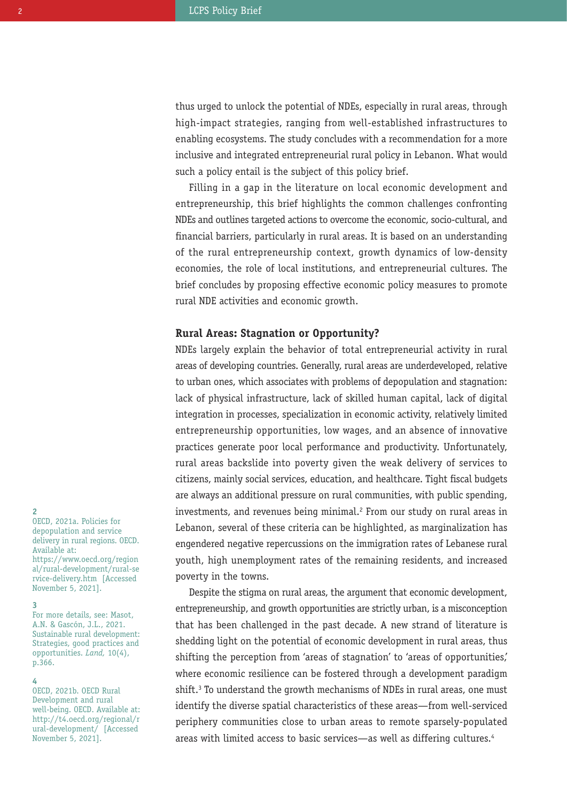thus urged to unlock the potential of NDEs, especially in rural areas, through high-impact strategies, ranging from well-established infrastructures to enabling ecosystems. The study concludes with a recommendation for a more inclusive and integrated entrepreneurial rural policy in Lebanon. What would such a policy entail is the subject of this policy brief.

Filling in a gap in the literature on local economic development and entrepreneurship, this brief highlights the common challenges confronting NDEs and outlines targeted actions to overcome the economic, socio-cultural, and financial barriers, particularly in rural areas. It is based on an understanding of the rural entrepreneurship context, growth dynamics of low-density economies, the role of local institutions, and entrepreneurial cultures. The brief concludes by proposing effective economic policy measures to promote rural NDE activities and economic growth.

#### **Rural Areas: Stagnation or Opportunity?**

NDEs largely explain the behavior of total entrepreneurial activity in rural areas of developing countries. Generally, rural areas are underdeveloped, relative to urban ones, which associates with problems of depopulation and stagnation: lack of physical infrastructure, lack of skilled human capital, lack of digital integration in processes, specialization in economic activity, relatively limited entrepreneurship opportunities, low wages, and an absence of innovative practices generate poor local performance and productivity. Unfortunately, rural areas backslide into poverty given the weak delivery of services to citizens, mainly social services, education, and healthcare. Tight fiscal budgets are always an additional pressure on rural communities, with public spending, investments, and revenues being minimal.2 From our study on rural areas in Lebanon, several of these criteria can be highlighted, as marginalization has engendered negative repercussions on the immigration rates of Lebanese rural youth, high unemployment rates of the remaining residents, and increased poverty in the towns.

Despite the stigma on rural areas, the argument that economic development, entrepreneurship, and growth opportunities are strictly urban, is a misconception that has been challenged in the past decade. A new strand of literature is shedding light on the potential of economic development in rural areas, thus shifting the perception from 'areas of stagnation' to 'areas of opportunities,' where economic resilience can be fostered through a development paradigm shift.<sup>3</sup> To understand the growth mechanisms of NDEs in rural areas, one must identify the diverse spatial characteristics of these areas—from well-serviced periphery communities close to urban areas to remote sparsely-populated areas with limited access to basic services—as well as differing cultures.4

#### **2**

OECD, 2021a. Policies for depopulation and service delivery in rural regions. OECD. Available at: https://www.oecd.org/region al/rural-development/rural-se rvice-delivery.htm [Accessed November 5, 2021].

#### **3**

For more details, see: Masot, A.N. & Gascón, J.L., 2021. Sustainable rural development: Strategies, good practices and opportunities. *Land,* 10(4), p.366.

#### **4**

OECD, 2021b. OECD Rural Development and rural well-being. OECD. Available at: http://t4.oecd.org/regional/r ural-development/ [Accessed November 5, 2021].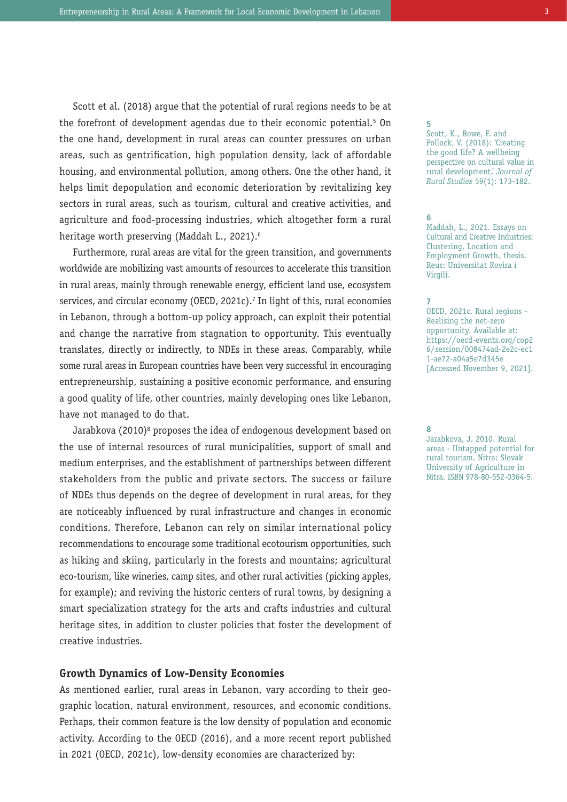Scott et al. (2018) argue that the potential of rural regions needs to be at the forefront of development agendas due to their economic potential.<sup>5</sup> On the one hand, development in rural areas can counter pressures on urban areas, such as gentrification, high population density, lack of affordable housing, and environmental pollution, among others. One the other hand, it helps limit depopulation and economic deterioration by revitalizing key sectors in rural areas, such as tourism, cultural and creative activities, and agriculture and food-processing industries, which altogether form a rural heritage worth preserving (Maddah L., 2021).6

Furthermore, rural areas are vital for the green transition, and governments worldwide are mobilizing vast amounts of resources to accelerate this transition in rural areas, mainly through renewable energy, efficient land use, ecosystem services, and circular economy (OECD, 2021c).<sup>7</sup> In light of this, rural economies in Lebanon, through a bottom-up policy approach, can exploit their potential and change the narrative from stagnation to opportunity. This eventually translates, directly or indirectly, to NDEs in these areas. Comparably, while some rural areas in European countries have been very successful in encouraging entrepreneurship, sustaining a positive economic performance, and ensuring a good quality of life, other countries, mainly developing ones like Lebanon, have not managed to do that.

Jarabkova (2010)<sup>8</sup> proposes the idea of endogenous development based on the use of internal resources of rural municipalities, support of small and medium enterprises, and the establishment of partnerships between different stakeholders from the public and private sectors. The success or failure of NDEs thus depends on the degree of development in rural areas, for they are noticeably influenced by rural infrastructure and changes in economic conditions. Therefore, Lebanon can rely on similar international policy recommendations to encourage some traditional ecotourism opportunities, such as hiking and skiing, particularly in the forests and mountains; agricultural eco-tourism, like wineries, camp sites, and other rural activities (picking apples, for example); and reviving the historic centers of rural towns, by designing a smart specialization strategy for the arts and crafts industries and cultural heritage sites, in addition to cluster policies that foster the development of creative industries.

#### **Growth Dynamics of Low-Density Economies**

As mentioned earlier, rural areas in Lebanon, vary according to their geographic location, natural environment, resources, and economic conditions. Perhaps, their common feature is the low density of population and economic activity. According to the OECD (2016), and a more recent report published in 2021 (OECD, 2021c), low-density economies are characterized by:

#### **5**

Scott, K., Rowe, F. and Pollock, V. (2018): 'Creating the good life? A wellbeing perspective on cultural value in rural development,' *Journal of Rural Studies* 59(1): 173-182.

#### **6**

Maddah, L., 2021. Essays on Cultural and Creative Industries: Clustering, Location and Employment Growth. thesis. Reus: Universitat Rovira i Virgili.

#### **7**

OECD, 2021c. Rural regions - Realising the net-zero opportunity. Available at: https://oecd-events.org/cop2 6/session/008474ad-2e2c-ec1 1-ae72-a04a5e7d345e [Accessed November 9, 2021].

**8**

Jarabkova, J. 2010. Rural areas - Untapped potential for rural tourism. Nitra: Slovak University of Agriculture in Nitra. ISBN 978-80-552-0364-5.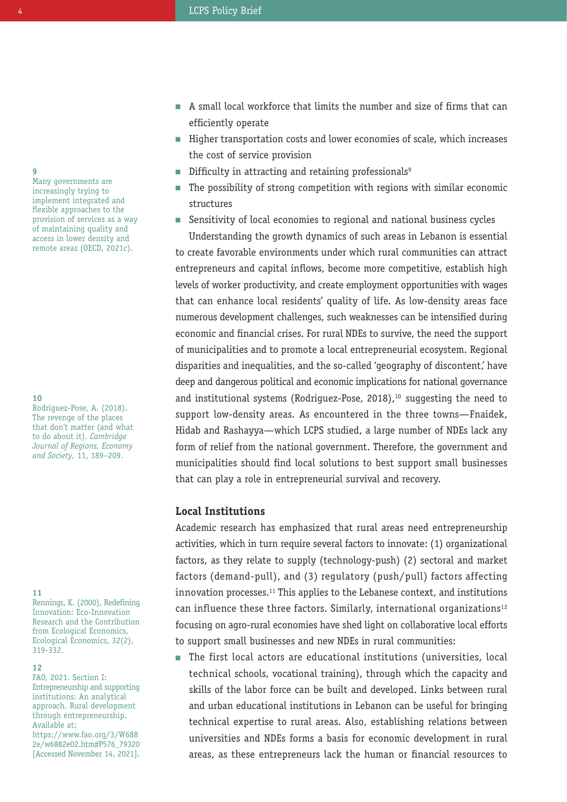**9**

Many governments are increasingly trying to implement integrated and flexible approaches to the provision of services as a way of maintaining quality and access in lower density and remote areas (OECD, 2021c).

#### **10**

Rodriguez-Pose, A. (2018). The revenge of the places that don't matter (and what to do about it). *Cambridge Journal of Regions, Economy and Society,* 11, 189–209.

#### **11**

Rennings, K. (2000), Redefining Innovation: Eco-Innovation Research and the Contribution from Ecological Economics, Ecological Economics, 32(2), 319-332.

#### **12**

FAO, 2021. Section I: Entrepreneurship and supporting institutions: An analytical approach. Rural development through entrepreneurship. Available at: https://www.fao.org/3/W688 2e/w6882e02.htm#P576\_79320 [Accessed November 14, 2021].

- $\blacksquare$  A small local workforce that limits the number and size of firms that can efficiently operate
- $\blacksquare$  Higher transportation costs and lower economies of scale, which increases the cost of service provision
- Difficulty in attracting and retaining professionals<sup>9</sup>
- $\quad \blacksquare$  The possibility of strong competition with regions with similar economic structures
- Sensitivity of local economies to regional and national business cycles n

Understanding the growth dynamics of such areas in Lebanon is essential to create favorable environments under which rural communities can attract entrepreneurs and capital inflows, become more competitive, establish high levels of worker productivity, and create employment opportunities with wages that can enhance local residents' quality of life. As low-density areas face numerous development challenges, such weaknesses can be intensified during economic and financial crises. For rural NDEs to survive, the need the support of municipalities and to promote a local entrepreneurial ecosystem. Regional disparities and inequalities, and the so-called 'qeography of discontent', have deep and dangerous political and economic implications for national governance and institutional systems (Rodriguez-Pose, 2018), $10$  suggesting the need to support low-density areas. As encountered in the three towns—Fnaidek, Hidab and Rashayya—which LCPS studied, a large number of NDEs lack any form of relief from the national government. Therefore, the government and municipalities should find local solutions to best support small businesses that can play a role in entrepreneurial survival and recovery.

#### **Local Institutions**

Academic research has emphasized that rural areas need entrepreneurship activities, which in turn require several factors to innovate: (1) organizational factors, as they relate to supply (technology-push) (2) sectoral and market factors (demand-pull), and (3) regulatory (push/pull) factors affecting innovation processes.11 This applies to the Lebanese context, and institutions can influence these three factors. Similarly, international organizations<sup>12</sup> focusing on agro-rural economies have shed light on collaborative local efforts to support small businesses and new NDEs in rural communities:

 $\quad \blacksquare$  The first local actors are educational institutions (universities, local technical schools, vocational training), through which the capacity and skills of the labor force can be built and developed. Links between rural and urban educational institutions in Lebanon can be useful for bringing technical expertise to rural areas. Also, establishing relations between universities and NDEs forms a basis for economic development in rural areas, as these entrepreneurs lack the human or financial resources to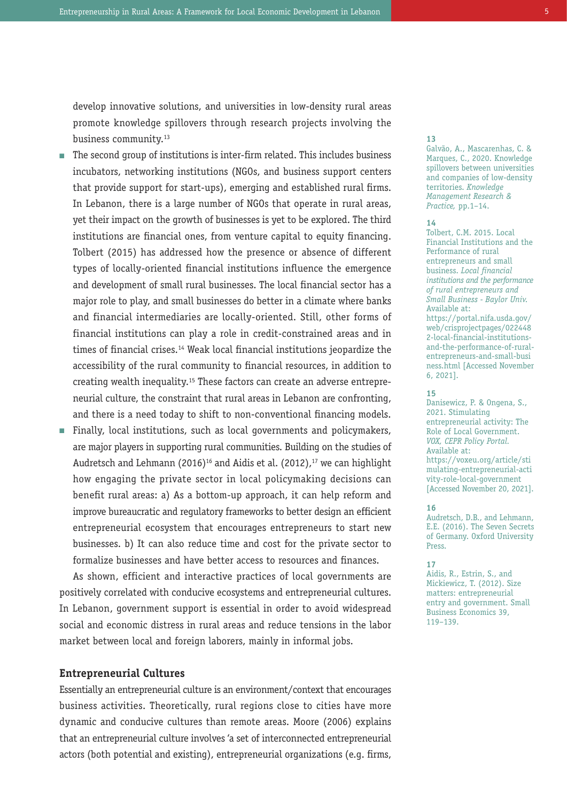develop innovative solutions, and universities in low-density rural areas promote knowledge spillovers through research projects involving the business community.13

- $\quad \blacksquare$  The second group of institutions is inter-firm related. This includes business incubators, networking institutions (NGOs, and business support centers that provide support for start-ups), emerging and established rural firms. In Lebanon, there is a large number of NGOs that operate in rural areas, yet their impact on the growth of businesses is yet to be explored. The third institutions are financial ones, from venture capital to equity financing. Tolbert (2015) has addressed how the presence or absence of different types of locally-oriented financial institutions influence the emergence and development of small rural businesses. The local financial sector has a major role to play, and small businesses do better in a climate where banks and financial intermediaries are locally-oriented. Still, other forms of financial institutions can play a role in credit-constrained areas and in times of financial crises.<sup>14</sup> Weak local financial institutions jeopardize the accessibility of the rural community to financial resources, in addition to creating wealth inequality.15 These factors can create an adverse entrepreneurial culture, the constraint that rural areas in Lebanon are confronting, and there is a need today to shift to non-conventional financing models.
- $\quad \blacksquare$  Finally, local institutions, such as local governments and policymakers, are major players in supporting rural communities. Building on the studies of Audretsch and Lehmann (2016)<sup>16</sup> and Aidis et al. (2012),<sup>17</sup> we can highlight how engaging the private sector in local policymaking decisions can benefit rural areas: a) As a bottom-up approach, it can help reform and improve bureaucratic and regulatory frameworks to better design an efficient entrepreneurial ecosystem that encourages entrepreneurs to start new businesses. b) It can also reduce time and cost for the private sector to formalize businesses and have better access to resources and finances.

As shown, efficient and interactive practices of local governments are positively correlated with conducive ecosystems and entrepreneurial cultures. In Lebanon, government support is essential in order to avoid widespread social and economic distress in rural areas and reduce tensions in the labor market between local and foreign laborers, mainly in informal jobs.

#### **Entrepreneurial Cultures**

Essentially an entrepreneurial culture is an environment/context that encourages business activities. Theoretically, rural regions close to cities have more dynamic and conducive cultures than remote areas. Moore (2006) explains that an entrepreneurial culture involves 'a set of interconnected entrepreneurial actors (both potential and existing), entrepreneurial organizations (e.g. firms,

#### **13**

Galvão, A., Mascarenhas, C. & Marques, C., 2020. Knowledge spillovers between universities and companies of low-density territories. *Knowledge Management Research & Practice,* pp.1–14.

#### **14**

Tolbert, C.M. 2015. Local Financial Institutions and the Performance of rural entrepreneurs and small business. *Local financial institutions and the performance of rural entrepreneurs and Small Business - Baylor Univ.* Available at: https://portal.nifa.usda.gov/ web/crisprojectpages/022448 2-local-financial-institutionsand-the-performance-of-ruralentrepreneurs-and-small-busi ness.html [Accessed November 6, 2021].

#### **15**

Danisewicz, P. & Ongena, S., 2021. Stimulating entrepreneurial activity: The Role of Local Government. *VOX, CEPR Policy Portal.* Available at: https://voxeu.org/article/sti mulating-entrepreneurial-acti vity-role-local-government [Accessed November 20, 2021].

#### **16**

Audretsch, D.B., and Lehmann, E.E. (2016). The Seven Secrets of Germany. Oxford University Press.

#### **17**

Aidis, R., Estrin, S., and Mickiewicz, T. (2012). Size matters: entrepreneurial entry and government. Small Business Economics 39, 119–139.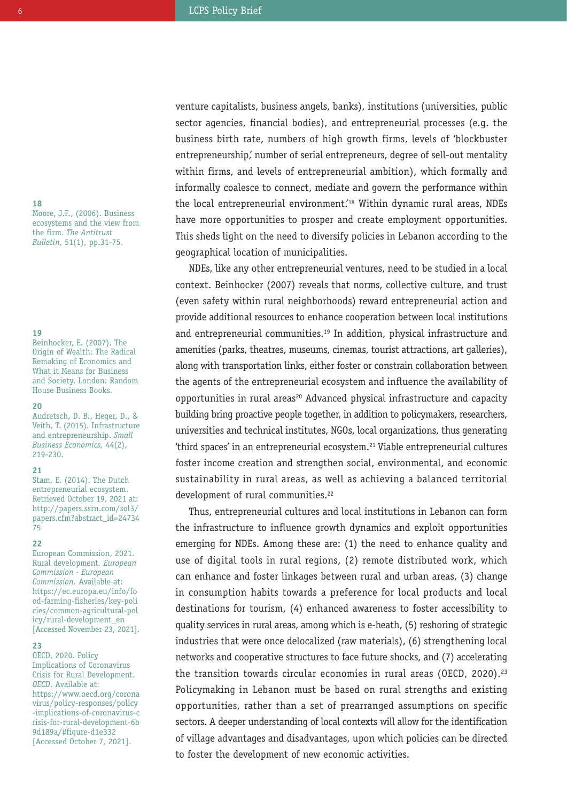**18**

Moore, J.F., (2006). Business ecosystems and the view from the firm. *The Antitrust Bulletin*, 51(1), pp.31-75.

#### **19**

Beinhocker, E. (2007). The Origin of Wealth: The Radical Remaking of Economics and What it Means for Business and Society. London: Random House Business Books.

#### **20**

Audretsch, D. B., Heger, D., & Veith, T. (2015). Infrastructure and entrepreneurship. *Small Business Economics,* 44(2), 219-230.

#### **21**

Stam, E. (2014). The Dutch entrepreneurial ecosystem. Retrieved October 19, 2021 at: http://papers.ssrn.com/sol3/ papers.cfm?abstract\_id=24734 75

#### **22**

European Commission, 2021. Rural development*. European Commission - European Commission.* Available at: https://ec.europa.eu/info/fo od-farming-fisheries/key-poli cies/common-agricultural-pol icy/rural-development\_en [Accessed November 23, 2021].

#### **23**

OECD, 2020. Policy Implications of Coronavirus Crisis for Rural Development. *OECD*. Available at: https://www.oecd.org/corona virus/policy-responses/policy -implications-of-coronavirus-c risis-for-rural-development-6b 9d189a/#figure-d1e332 [Accessed October 7, 2021].

venture capitalists, business angels, banks), institutions (universities, public sector agencies, financial bodies), and entrepreneurial processes (e.g. the business birth rate, numbers of high growth firms, levels of 'blockbuster entrepreneurship,' number of serial entrepreneurs, degree of sell-out mentality within firms, and levels of entrepreneurial ambition), which formally and informally coalesce to connect, mediate and govern the performance within the local entrepreneurial environment.'18 Within dynamic rural areas, NDEs have more opportunities to prosper and create employment opportunities. This sheds light on the need to diversify policies in Lebanon according to the geographical location of municipalities.

NDEs, like any other entrepreneurial ventures, need to be studied in a local context. Beinhocker (2007) reveals that norms, collective culture, and trust (even safety within rural neighborhoods) reward entrepreneurial action and provide additional resources to enhance cooperation between local institutions and entrepreneurial communities.<sup>19</sup> In addition, physical infrastructure and amenities (parks, theatres, museums, cinemas, tourist attractions, art galleries), along with transportation links, either foster or constrain collaboration between the agents of the entrepreneurial ecosystem and influence the availability of opportunities in rural areas<sup>20</sup> Advanced physical infrastructure and capacity building bring proactive people together, in addition to policymakers, researchers, universities and technical institutes, NGOs, local organizations, thus generating 'third spaces' in an entrepreneurial ecosystem.<sup>21</sup> Viable entrepreneurial cultures foster income creation and strengthen social, environmental, and economic sustainability in rural areas, as well as achieving a balanced territorial development of rural communities.<sup>22</sup>

Thus, entrepreneurial cultures and local institutions in Lebanon can form the infrastructure to influence growth dynamics and exploit opportunities emerging for NDEs. Among these are: (1) the need to enhance quality and use of digital tools in rural regions, (2) remote distributed work, which can enhance and foster linkages between rural and urban areas, (3) change in consumption habits towards a preference for local products and local destinations for tourism, (4) enhanced awareness to foster accessibility to quality services in rural areas, among which is e-heath, (5) reshoring of strategic industries that were once delocalized (raw materials), (6) strengthening local networks and cooperative structures to face future shocks, and (7) accelerating the transition towards circular economies in rural areas (OECD, 2020).<sup>23</sup> Policymaking in Lebanon must be based on rural strengths and existing opportunities, rather than a set of prearranged assumptions on specific sectors. A deeper understanding of local contexts will allow for the identification of village advantages and disadvantages, upon which policies can be directed to foster the development of new economic activities.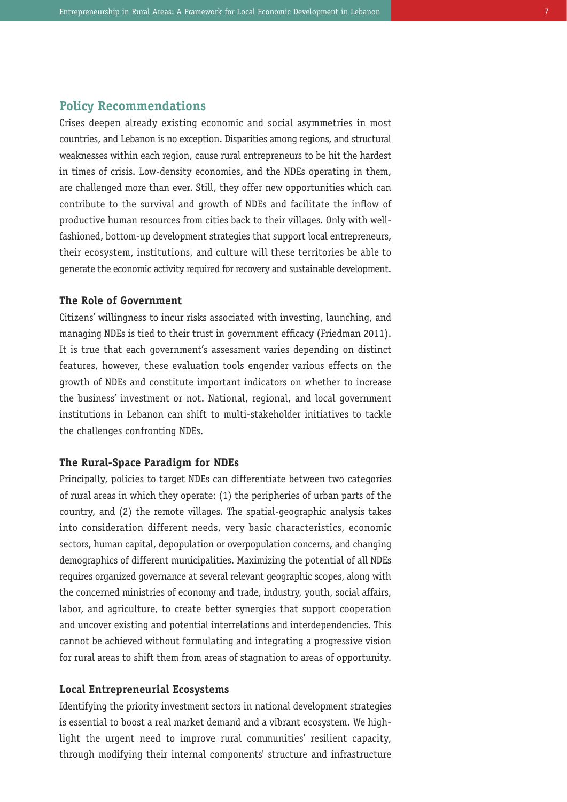#### **Policy Recommendations**

Crises deepen already existing economic and social asymmetries in most countries, and Lebanon is no exception. Disparities among regions, and structural weaknesses within each region, cause rural entrepreneurs to be hit the hardest in times of crisis. Low-density economies, and the NDEs operating in them, are challenged more than ever. Still, they offer new opportunities which can contribute to the survival and growth of NDEs and facilitate the inflow of productive human resources from cities back to their villages. Only with wellfashioned, bottom-up development strategies that support local entrepreneurs, their ecosystem, institutions, and culture will these territories be able to generate the economic activity required for recovery and sustainable development.

#### **The Role of Government**

Citizens' willingness to incur risks associated with investing, launching, and managing NDEs is tied to their trust in government efficacy (Friedman 2011). It is true that each government's assessment varies depending on distinct features, however, these evaluation tools engender various effects on the growth of NDEs and constitute important indicators on whether to increase the business' investment or not. National, regional, and local government institutions in Lebanon can shift to multi-stakeholder initiatives to tackle the challenges confronting NDEs.

#### **The Rural-Space Paradigm for NDEs**

Principally, policies to target NDEs can differentiate between two categories of rural areas in which they operate: (1) the peripheries of urban parts of the country, and (2) the remote villages. The spatial-geographic analysis takes into consideration different needs, very basic characteristics, economic sectors, human capital, depopulation or overpopulation concerns, and changing demographics of different municipalities. Maximizing the potential of all NDEs requires organized governance at several relevant geographic scopes, along with the concerned ministries of economy and trade, industry, youth, social affairs, labor, and agriculture, to create better synergies that support cooperation and uncover existing and potential interrelations and interdependencies. This cannot be achieved without formulating and integrating a progressive vision for rural areas to shift them from areas of stagnation to areas of opportunity.

#### **Local Entrepreneurial Ecosystems**

Identifying the priority investment sectors in national development strategies is essential to boost a real market demand and a vibrant ecosystem. We highlight the urgent need to improve rural communities' resilient capacity, through modifying their internal components' structure and infrastructure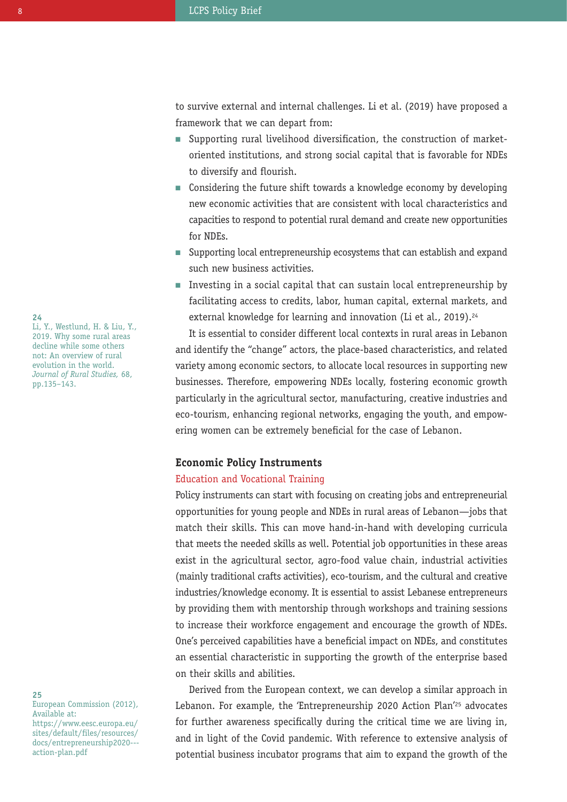to survive external and internal challenges. Li et al. (2019) have proposed a framework that we can depart from:

- Supporting rural livelihood diversification, the construction of market-n oriented institutions, and strong social capital that is favorable for NDEs to diversify and flourish.
- Considering the future shift towards a knowledge economy by developing n new economic activities that are consistent with local characteristics and capacities to respond to potential rural demand and create new opportunities for NDEs.
- Supporting local entrepreneurship ecosystems that can establish and expand n such new business activities.
- $\quad \blacksquare$  Investing in a social capital that can sustain local entrepreneurship by facilitating access to credits, labor, human capital, external markets, and external knowledge for learning and innovation (Li et al., 2019).<sup>24</sup>

It is essential to consider different local contexts in rural areas in Lebanon and identify the "change" actors, the place-based characteristics, and related variety among economic sectors, to allocate local resources in supporting new businesses. Therefore, empowering NDEs locally, fostering economic growth particularly in the agricultural sector, manufacturing, creative industries and eco-tourism, enhancing regional networks, engaging the youth, and empowering women can be extremely beneficial for the case of Lebanon.

#### **Economic Policy Instruments**

#### Education and Vocational Training

Policy instruments can start with focusing on creating jobs and entrepreneurial opportunities for young people and NDEs in rural areas of Lebanon—jobs that match their skills. This can move hand-in-hand with developing curricula that meets the needed skills as well. Potential job opportunities in these areas exist in the agricultural sector, agro-food value chain, industrial activities (mainly traditional crafts activities), eco-tourism, and the cultural and creative industries/knowledge economy. It is essential to assist Lebanese entrepreneurs by providing them with mentorship through workshops and training sessions to increase their workforce engagement and encourage the growth of NDEs. One's perceived capabilities have a beneficial impact on NDEs, and constitutes an essential characteristic in supporting the growth of the enterprise based on their skills and abilities.

Derived from the European context, we can develop a similar approach in Lebanon. For example, the 'Entrepreneurship 2020 Action Plan<sup>'25</sup> advocates for further awareness specifically during the critical time we are living in, and in light of the Covid pandemic. With reference to extensive analysis of potential business incubator programs that aim to expand the growth of the

**24** Li, Y., Westlund, H. & Liu, Y., 2019. Why some rural areas decline while some others not: An overview of rural evolution in the world. *Journal of Rural Studies,* 68, pp.135–143.

**25** European Commission (2012), Available at: https://www.eesc.europa.eu/ sites/default/files/resources/ docs/entrepreneurship2020-- action-plan.pdf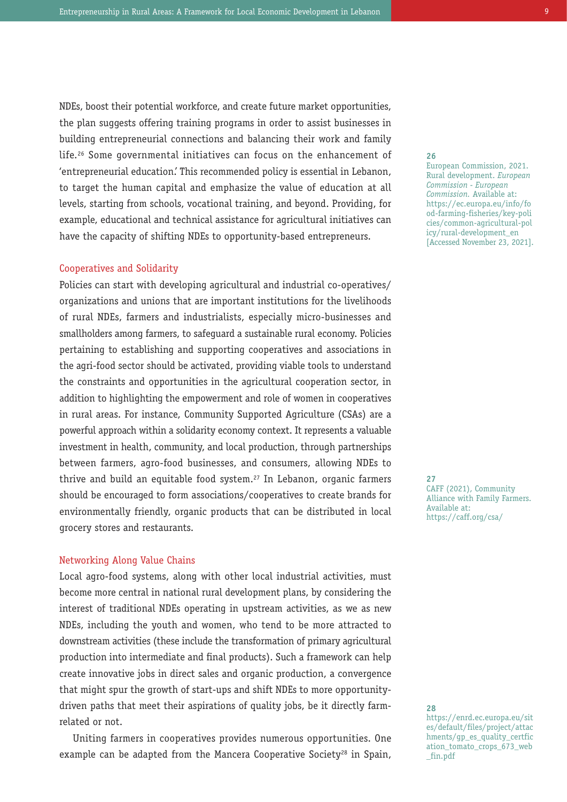NDEs, boost their potential workforce, and create future market opportunities, the plan suggests offering training programs in order to assist businesses in building entrepreneurial connections and balancing their work and family life.26 Some governmental initiatives can focus on the enhancement of 'entrepreneurial education.' This recommended policy is essential in Lebanon, to target the human capital and emphasize the value of education at all levels, starting from schools, vocational training, and beyond. Providing, for example, educational and technical assistance for agricultural initiatives can have the capacity of shifting NDEs to opportunity-based entrepreneurs.

#### Cooperatives and Solidarity

Policies can start with developing agricultural and industrial co-operatives/ organizations and unions that are important institutions for the livelihoods of rural NDEs, farmers and industrialists, especially micro-businesses and smallholders among farmers, to safeguard a sustainable rural economy. Policies pertaining to establishing and supporting cooperatives and associations in the agri-food sector should be activated, providing viable tools to understand the constraints and opportunities in the agricultural cooperation sector, in addition to highlighting the empowerment and role of women in cooperatives in rural areas. For instance, Community Supported Agriculture (CSAs) are a powerful approach within a solidarity economy context. It represents a valuable investment in health, community, and local production, through partnerships between farmers, agro-food businesses, and consumers, allowing NDEs to thrive and build an equitable food system.27 In Lebanon, organic farmers should be encouraged to form associations/cooperatives to create brands for environmentally friendly, organic products that can be distributed in local grocery stores and restaurants.

#### Networking Along Value Chains

Local agro-food systems, along with other local industrial activities, must become more central in national rural development plans, by considering the interest of traditional NDEs operating in upstream activities, as we as new NDEs, including the youth and women, who tend to be more attracted to downstream activities (these include the transformation of primary agricultural production into intermediate and final products). Such a framework can help create innovative jobs in direct sales and organic production, a convergence that might spur the growth of start-ups and shift NDEs to more opportunitydriven paths that meet their aspirations of quality jobs, be it directly farmrelated or not.

Uniting farmers in cooperatives provides numerous opportunities. One example can be adapted from the Mancera Cooperative Society<sup>28</sup> in Spain,

**26**

European Commission, 2021. Rural development. *European Commission - European Commission.* Available at: https://ec.europa.eu/info/fo od-farming-fisheries/key-poli cies/common-agricultural-pol icy/rural-development\_en [Accessed November 23, 2021].

**27** CAFF (2021), Community Alliance with Family Farmers. Available at: https://caff.org/csa/

**28**

https://enrd.ec.europa.eu/sit es/default/files/project/attac hments/gp\_es\_quality\_certfic ation\_tomato\_crops\_673\_web \_fin.pdf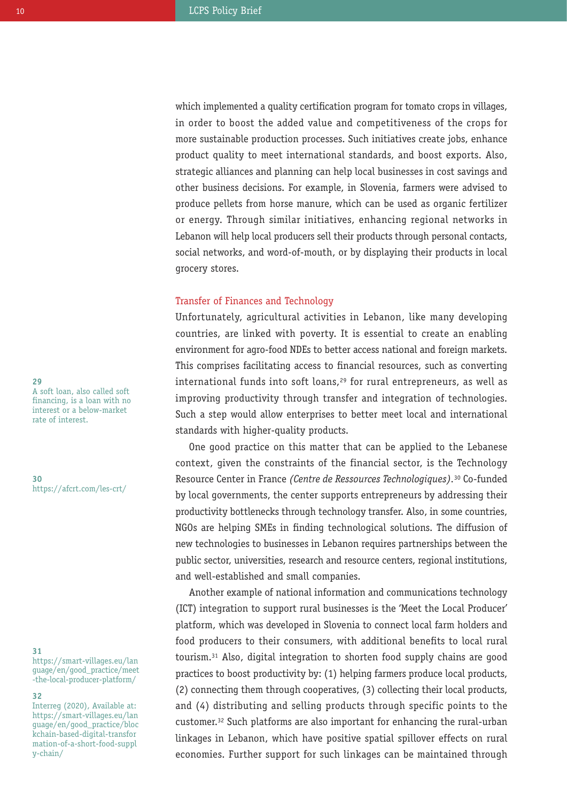which implemented a quality certification program for tomato crops in villages, in order to boost the added value and competitiveness of the crops for more sustainable production processes. Such initiatives create jobs, enhance product quality to meet international standards, and boost exports. Also, strategic alliances and planning can help local businesses in cost savings and other business decisions. For example, in Slovenia, farmers were advised to produce pellets from horse manure, which can be used as organic fertilizer or energy. Through similar initiatives, enhancing regional networks in Lebanon will help local producers sell their products through personal contacts, social networks, and word-of-mouth, or by displaying their products in local grocery stores.

#### Transfer of Finances and Technology

Unfortunately, agricultural activities in Lebanon, like many developing countries, are linked with poverty. It is essential to create an enabling environment for agro-food NDEs to better access national and foreign markets. This comprises facilitating access to financial resources, such as converting international funds into soft loans,<sup>29</sup> for rural entrepreneurs, as well as improving productivity through transfer and integration of technologies. Such a step would allow enterprises to better meet local and international standards with higher-quality products.

One good practice on this matter that can be applied to the Lebanese context, given the constraints of the financial sector, is the Technology Resource Center in France *(Centre de Ressources Technologiques).*<sup>30</sup> Co-funded by local governments, the center supports entrepreneurs by addressing their productivity bottlenecks through technology transfer. Also, in some countries, NGOs are helping SMEs in finding technological solutions. The diffusion of new technologies to businesses in Lebanon requires partnerships between the public sector, universities, research and resource centers, regional institutions, and well-established and small companies.

Another example of national information and communications technology (ICT) integration to support rural businesses is the 'Meet the Local Producer' platform, which was developed in Slovenia to connect local farm holders and food producers to their consumers, with additional benefits to local rural tourism.31 Also, digital integration to shorten food supply chains are good practices to boost productivity by: (1) helping farmers produce local products, (2) connecting them through cooperatives, (3) collecting their local products, and (4) distributing and selling products through specific points to the customer.32 Such platforms are also important for enhancing the rural-urban linkages in Lebanon, which have positive spatial spillover effects on rural economies. Further support for such linkages can be maintained through

A soft loan, also called soft financing, is a loan with no interest or a below-market rate of interest.

**29**

**30** https://afcrt.com/les-crt/

#### **31**

https://smart-villages.eu/lan guage/en/good\_practice/meet -the-local-producer-platform/

#### **32**

Interreg (2020), Available at: https://smart-villages.eu/lan guage/en/good\_practice/bloc kchain-based-digital-transfor mation-of-a-short-food-suppl y-chain/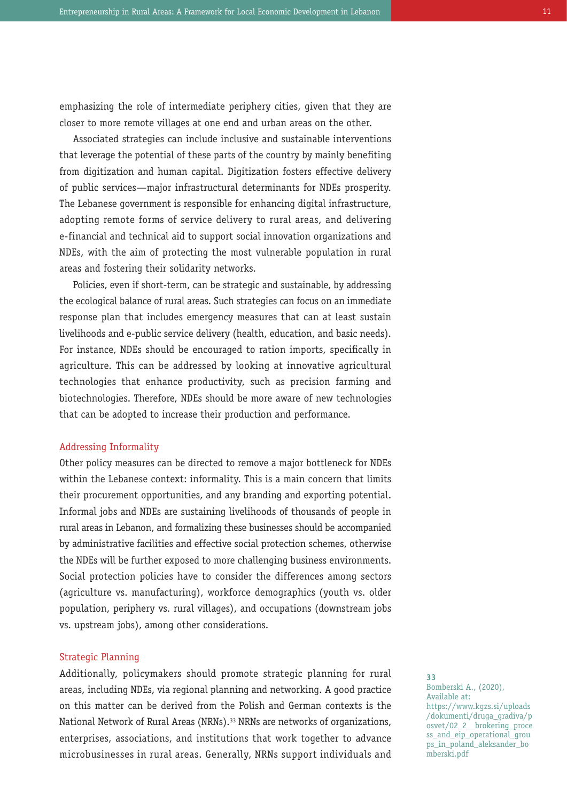emphasizing the role of intermediate periphery cities, given that they are closer to more remote villages at one end and urban areas on the other.

Associated strategies can include inclusive and sustainable interventions that leverage the potential of these parts of the country by mainly benefiting from digitization and human capital. Digitization fosters effective delivery of public services—major infrastructural determinants for NDEs prosperity. The Lebanese government is responsible for enhancing digital infrastructure, adopting remote forms of service delivery to rural areas, and delivering e-financial and technical aid to support social innovation organizations and NDEs, with the aim of protecting the most vulnerable population in rural areas and fostering their solidarity networks.

Policies, even if short-term, can be strategic and sustainable, by addressing the ecological balance of rural areas. Such strategies can focus on an immediate response plan that includes emergency measures that can at least sustain livelihoods and e-public service delivery (health, education, and basic needs). For instance, NDEs should be encouraged to ration imports, specifically in agriculture. This can be addressed by looking at innovative agricultural technologies that enhance productivity, such as precision farming and biotechnologies. Therefore, NDEs should be more aware of new technologies that can be adopted to increase their production and performance.

#### Addressing Informality

Other policy measures can be directed to remove a major bottleneck for NDEs within the Lebanese context: informality. This is a main concern that limits their procurement opportunities, and any branding and exporting potential. Informal jobs and NDEs are sustaining livelihoods of thousands of people in rural areas in Lebanon, and formalizing these businesses should be accompanied by administrative facilities and effective social protection schemes, otherwise the NDEs will be further exposed to more challenging business environments. Social protection policies have to consider the differences among sectors (agriculture vs. manufacturing), workforce demographics (youth vs. older population, periphery vs. rural villages), and occupations (downstream jobs vs. upstream jobs), among other considerations.

#### Strategic Planning

Additionally, policymakers should promote strategic planning for rural areas, including NDEs, via regional planning and networking. A good practice on this matter can be derived from the Polish and German contexts is the National Network of Rural Areas (NRNs).33 NRNs are networks of organizations, enterprises, associations, and institutions that work together to advance microbusinesses in rural areas. Generally, NRNs support individuals and

**33** Bomberski A., (2020), Available at: https://www.kgzs.si/uploads /dokumenti/druga\_gradiva/p  $osvet/02$  2 brokering proce ss\_and\_eip\_operational\_grou ps\_in\_poland\_aleksander\_bo mberski.pdf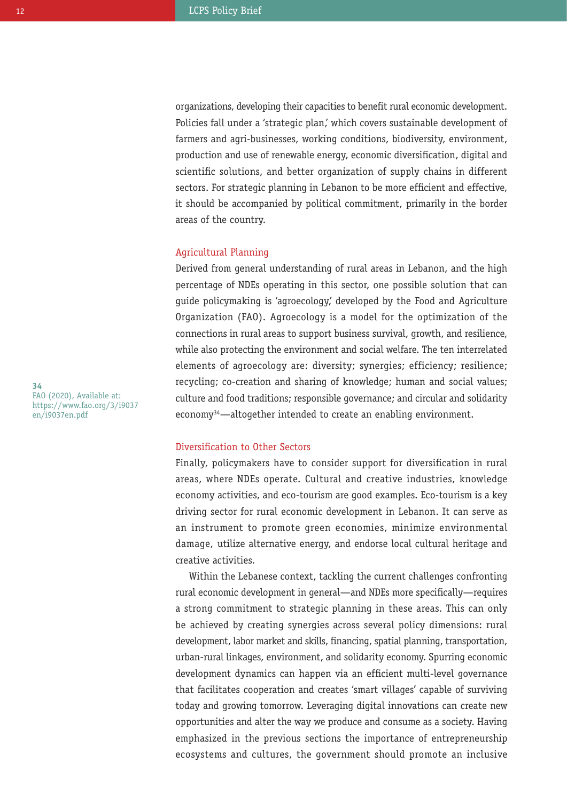organizations, developing their capacities to benefit rural economic development. Policies fall under a 'strategic plan,' which covers sustainable development of farmers and agri-businesses, working conditions, biodiversity, environment, production and use of renewable energy, economic diversification, digital and scientific solutions, and better organization of supply chains in different sectors. For strategic planning in Lebanon to be more efficient and effective, it should be accompanied by political commitment, primarily in the border areas of the country.

#### Agricultural Planning

Derived from general understanding of rural areas in Lebanon, and the high percentage of NDEs operating in this sector, one possible solution that can guide policymaking is 'agroecology,' developed by the Food and Agriculture Organization (FAO). Agroecology is a model for the optimization of the connections in rural areas to support business survival, growth, and resilience, while also protecting the environment and social welfare. The ten interrelated elements of agroecology are: diversity; synergies; efficiency; resilience; recycling; co-creation and sharing of knowledge; human and social values; culture and food traditions; responsible governance; and circular and solidarity economy34—altogether intended to create an enabling environment.

#### Diversification to Other Sectors

Finally, policymakers have to consider support for diversification in rural areas, where NDEs operate. Cultural and creative industries, knowledge economy activities, and eco-tourism are good examples. Eco-tourism is a key driving sector for rural economic development in Lebanon. It can serve as an instrument to promote green economies, minimize environmental damage, utilize alternative energy, and endorse local cultural heritage and creative activities.

Within the Lebanese context, tackling the current challenges confronting rural economic development in general—and NDEs more specifically—requires a strong commitment to strategic planning in these areas. This can only be achieved by creating synergies across several policy dimensions: rural development, labor market and skills, financing, spatial planning, transportation, urban-rural linkages, environment, and solidarity economy. Spurring economic development dynamics can happen via an efficient multi-level governance that facilitates cooperation and creates 'smart villages' capable of surviving today and growing tomorrow. Leveraging digital innovations can create new opportunities and alter the way we produce and consume as a society. Having emphasized in the previous sections the importance of entrepreneurship ecosystems and cultures, the government should promote an inclusive

**34** FAO (2020), Available at: https://www.fao.org/3/i9037 en/i9037en.pdf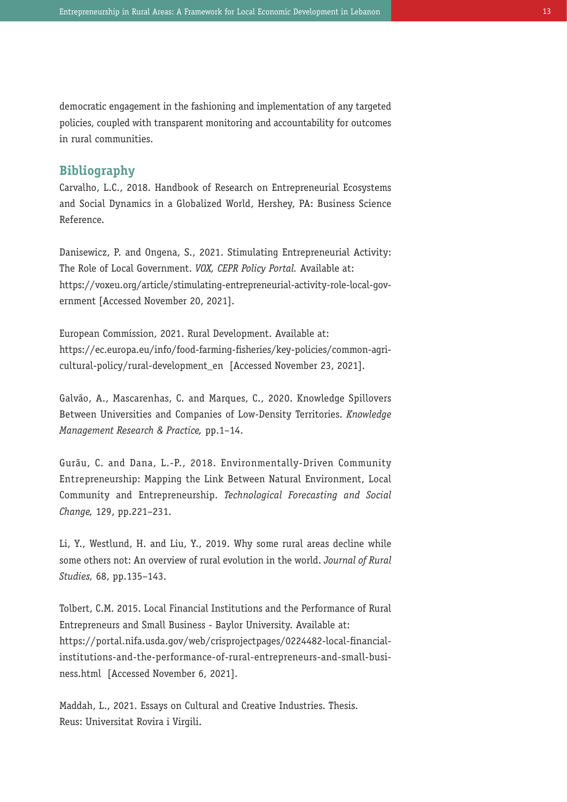democratic engagement in the fashioning and implementation of any targeted policies, coupled with transparent monitoring and accountability for outcomes in rural communities.

### **Bibliography**

Carvalho, L.C., 2018. Handbook of Research on Entrepreneurial Ecosystems and Social Dynamics in a Globalized World, Hershey, PA: Business Science Reference.

Danisewicz, P. and Ongena, S., 2021. Stimulating Entrepreneurial Activity: The Role of Local Government. *VOX, CEPR Policy Portal.* Available at: https://voxeu.org/article/stimulating-entrepreneurial-activity-role-local-government [Accessed November 20, 2021].

European Commission, 2021. Rural Development. Available at: https://ec.europa.eu/info/food-farming-fisheries/key-policies/common-agricultural-policy/rural-development\_en [Accessed November 23, 2021].

Galvão, A., Mascarenhas, C. and Marques, C., 2020. Knowledge Spillovers Between Universities and Companies of Low-Density Territories. *Knowledge Management Research & Practice,* pp.1–14.

Gurãu, C. and Dana, L.-P., 2018. Environmentally-Driven Community Entrepreneurship: Mapping the Link Between Natural Environment, Local Community and Entrepreneurship. *Technological Forecasting and Social Change,* 129, pp.221–231.

Li, Y., Westlund, H. and Liu, Y., 2019. Why some rural areas decline while some others not: An overview of rural evolution in the world. *Journal of Rural Studies,* 68, pp.135–143.

Tolbert, C.M. 2015. Local Financial Institutions and the Performance of Rural Entrepreneurs and Small Business - Baylor University. Available at: https://portal.nifa.usda.gov/web/crisprojectpages/0224482-local-financialinstitutions-and-the-performance-of-rural-entrepreneurs-and-small-business.html [Accessed November 6, 2021].

Maddah, L., 2021. Essays on Cultural and Creative Industries. Thesis. Reus: Universitat Rovira i Virgili.